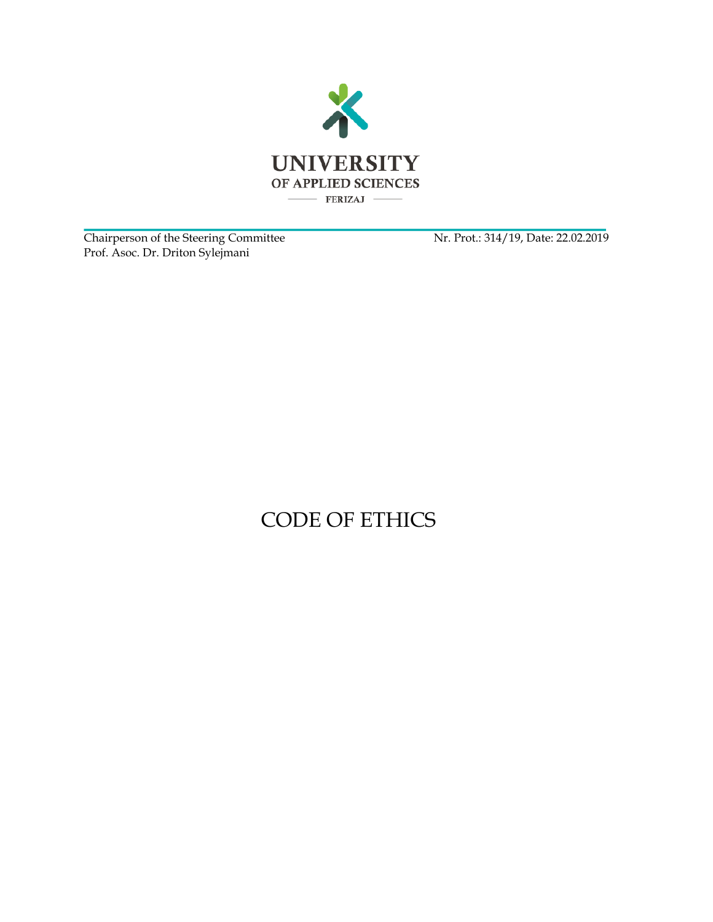

Chairperson of the Steering Committee Nr. Prot.: 314/19, Date: 22.02.2019 Prof. Asoc. Dr. Driton Sylejmani

## CODE OF ETHICS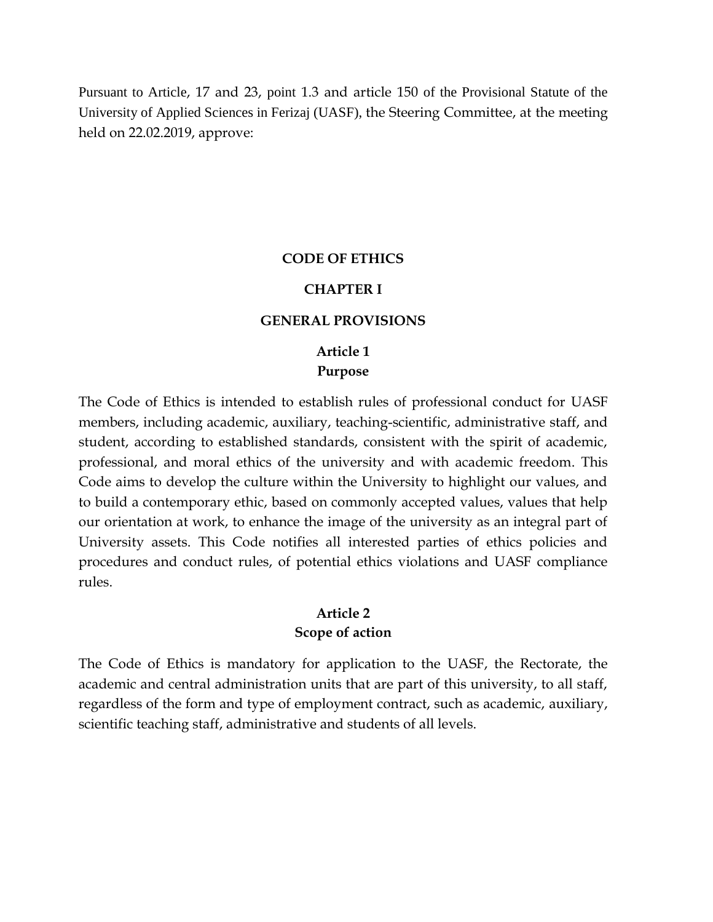Pursuant to Article, 17 and 23, point 1.3 and article 150 of the Provisional Statute of the University of Applied Sciences in Ferizaj (UASF), the Steering Committee, at the meeting held on 22.02.2019, approve:

#### **CODE OF ETHICS**

#### **CHAPTER I**

#### **GENERAL PROVISIONS**

## **Article 1 Purpose**

The Code of Ethics is intended to establish rules of professional conduct for UASF members, including academic, auxiliary, teaching-scientific, administrative staff, and student, according to established standards, consistent with the spirit of academic, professional, and moral ethics of the university and with academic freedom. This Code aims to develop the culture within the University to highlight our values, and to build a contemporary ethic, based on commonly accepted values, values that help our orientation at work, to enhance the image of the university as an integral part of University assets. This Code notifies all interested parties of ethics policies and procedures and conduct rules, of potential ethics violations and UASF compliance rules.

#### **Article 2 Scope of action**

The Code of Ethics is mandatory for application to the UASF, the Rectorate, the academic and central administration units that are part of this university, to all staff, regardless of the form and type of employment contract, such as academic, auxiliary, scientific teaching staff, administrative and students of all levels.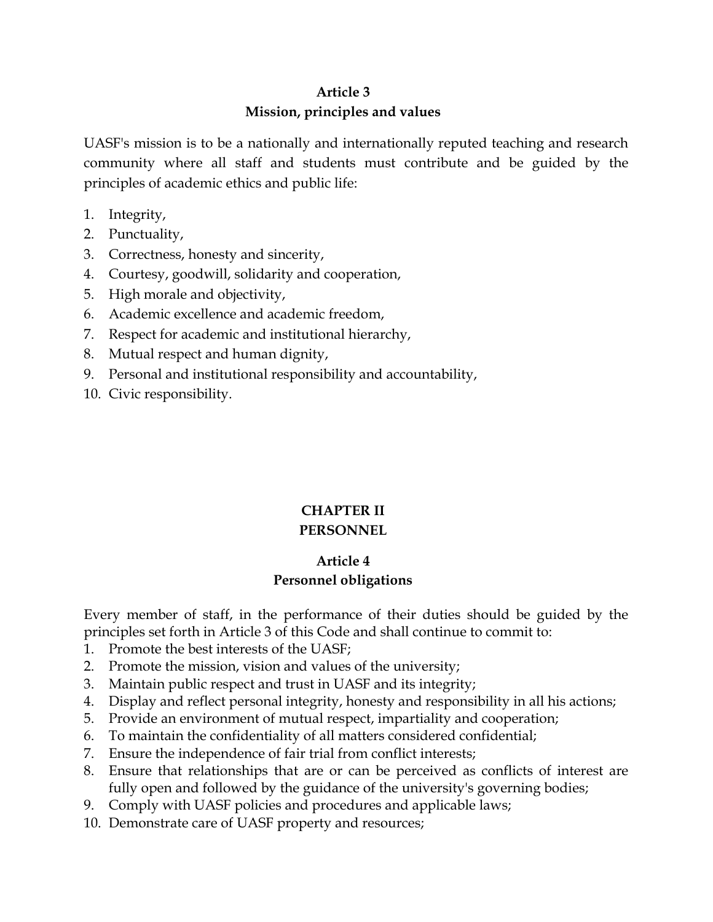## **Article 3 Mission, principles and values**

UASF's mission is to be a nationally and internationally reputed teaching and research community where all staff and students must contribute and be guided by the principles of academic ethics and public life:

- 1. Integrity,
- 2. Punctuality,
- 3. Correctness, honesty and sincerity,
- 4. Courtesy, goodwill, solidarity and cooperation,
- 5. High morale and objectivity,
- 6. Academic excellence and academic freedom,
- 7. Respect for academic and institutional hierarchy,
- 8. Mutual respect and human dignity,
- 9. Personal and institutional responsibility and accountability,
- 10. Civic responsibility.

# **CHAPTER II**

## **PERSONNEL**

## **Article 4 Personnel obligations**

Every member of staff, in the performance of their duties should be guided by the principles set forth in Article 3 of this Code and shall continue to commit to:

- 1. Promote the best interests of the UASF;
- 2. Promote the mission, vision and values of the university;
- 3. Maintain public respect and trust in UASF and its integrity;
- 4. Display and reflect personal integrity, honesty and responsibility in all his actions;
- 5. Provide an environment of mutual respect, impartiality and cooperation;
- 6. To maintain the confidentiality of all matters considered confidential;
- 7. Ensure the independence of fair trial from conflict interests;
- 8. Ensure that relationships that are or can be perceived as conflicts of interest are fully open and followed by the guidance of the university's governing bodies;
- 9. Comply with UASF policies and procedures and applicable laws;
- 10. Demonstrate care of UASF property and resources;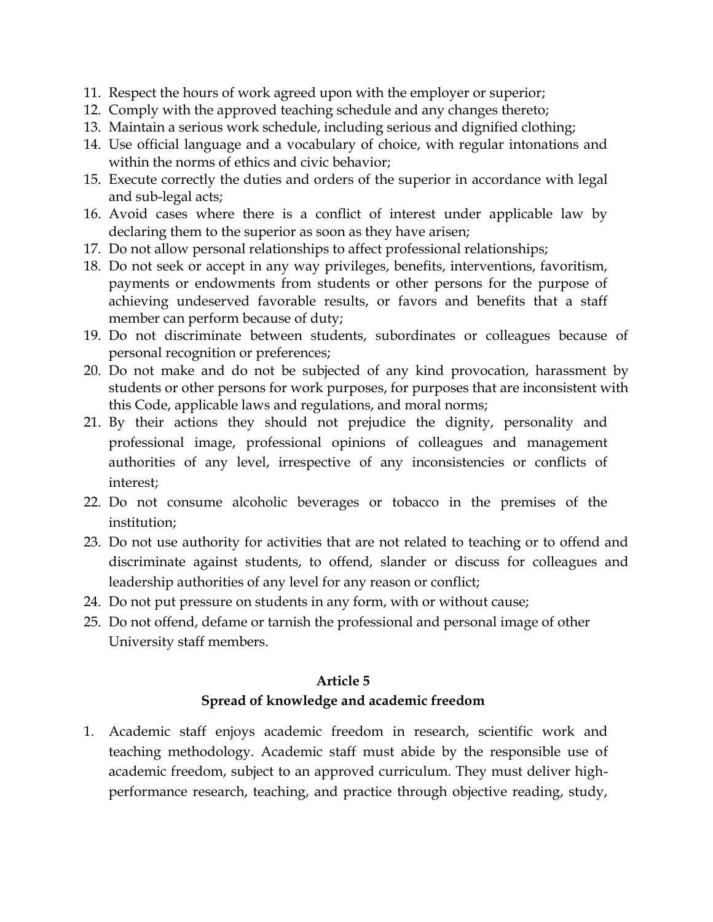- 11. Respect the hours of work agreed upon with the employer or superior;
- 12. Comply with the approved teaching schedule and any changes thereto;
- 13. Maintain a serious work schedule, including serious and dignified clothing;
- 14. Use official language and a vocabulary of choice, with regular intonations and within the norms of ethics and civic behavior;
- 15. Execute correctly the duties and orders of the superior in accordance with legal and sub-legal acts;
- 16. Avoid cases where there is a conflict of interest under applicable law by declaring them to the superior as soon as they have arisen;
- 17. Do not allow personal relationships to affect professional relationships;
- 18. Do not seek or accept in any way privileges, benefits, interventions, favoritism, payments or endowments from students or other persons for the purpose of achieving undeserved favorable results, or favors and benefits that a staff member can perform because of duty;
- 19. Do not discriminate between students, subordinates or colleagues because of personal recognition or preferences;
- 20. Do not make and do not be subjected of any kind provocation, harassment by students or other persons for work purposes, for purposes that are inconsistent with this Code, applicable laws and regulations, and moral norms;
- 21. By their actions they should not prejudice the dignity, personality and professional image, professional opinions of colleagues and management authorities of any level, irrespective of any inconsistencies or conflicts of interest;
- 22. Do not consume alcoholic beverages or tobacco in the premises of the institution;
- 23. Do not use authority for activities that are not related to teaching or to offend and discriminate against students, to offend, slander or discuss for colleagues and leadership authorities of any level for any reason or conflict;
- 24. Do not put pressure on students in any form, with or without cause;
- 25. Do not offend, defame or tarnish the professional and personal image of other University staff members.

#### **Article 5**

#### **Spread of knowledge and academic freedom**

1. Academic staff enjoys academic freedom in research, scientific work and teaching methodology. Academic staff must abide by the responsible use of academic freedom, subject to an approved curriculum. They must deliver highperformance research, teaching, and practice through objective reading, study,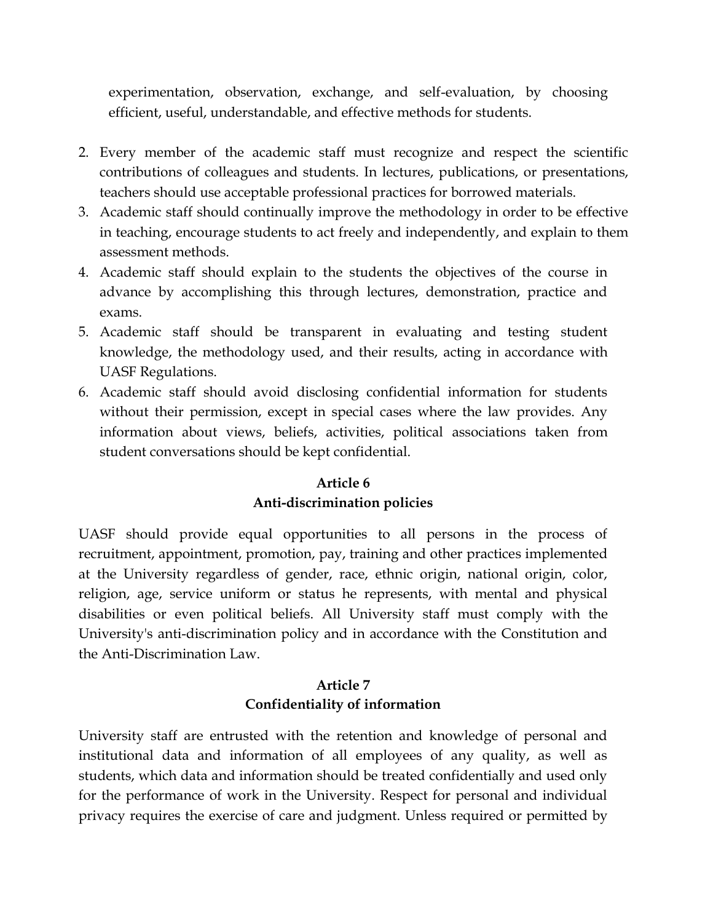experimentation, observation, exchange, and self-evaluation, by choosing efficient, useful, understandable, and effective methods for students.

- 2. Every member of the academic staff must recognize and respect the scientific contributions of colleagues and students. In lectures, publications, or presentations, teachers should use acceptable professional practices for borrowed materials.
- 3. Academic staff should continually improve the methodology in order to be effective in teaching, encourage students to act freely and independently, and explain to them assessment methods.
- 4. Academic staff should explain to the students the objectives of the course in advance by accomplishing this through lectures, demonstration, practice and exams.
- 5. Academic staff should be transparent in evaluating and testing student knowledge, the methodology used, and their results, acting in accordance with UASF Regulations.
- 6. Academic staff should avoid disclosing confidential information for students without their permission, except in special cases where the law provides. Any information about views, beliefs, activities, political associations taken from student conversations should be kept confidential.

## **Article 6 Anti-discrimination policies**

UASF should provide equal opportunities to all persons in the process of recruitment, appointment, promotion, pay, training and other practices implemented at the University regardless of gender, race, ethnic origin, national origin, color, religion, age, service uniform or status he represents, with mental and physical disabilities or even political beliefs. All University staff must comply with the University's anti-discrimination policy and in accordance with the Constitution and the Anti-Discrimination Law.

## **Article 7 Confidentiality of information**

University staff are entrusted with the retention and knowledge of personal and institutional data and information of all employees of any quality, as well as students, which data and information should be treated confidentially and used only for the performance of work in the University. Respect for personal and individual privacy requires the exercise of care and judgment. Unless required or permitted by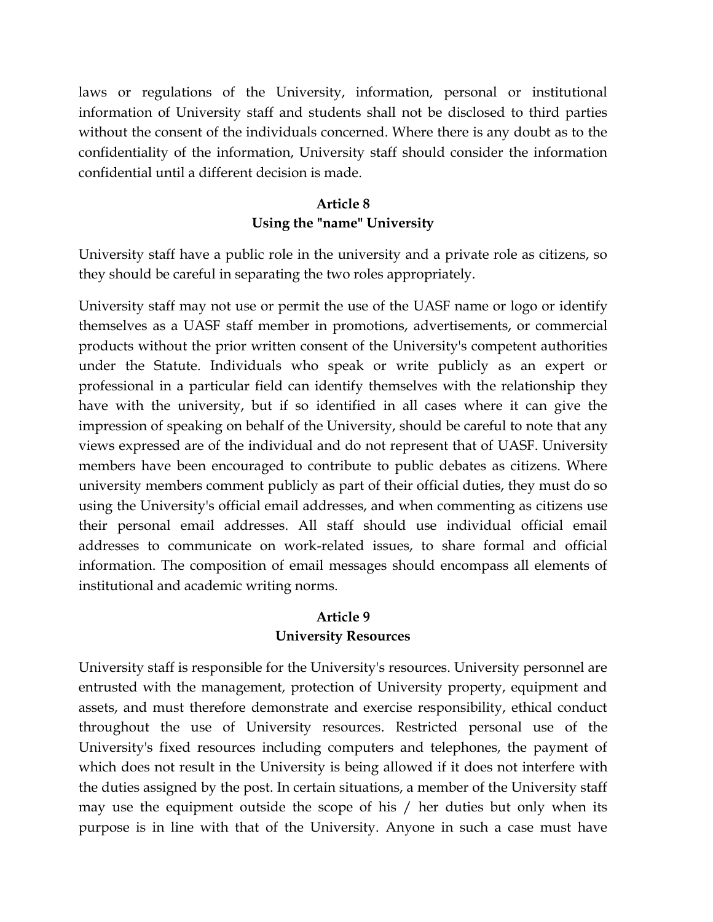laws or regulations of the University, information, personal or institutional information of University staff and students shall not be disclosed to third parties without the consent of the individuals concerned. Where there is any doubt as to the confidentiality of the information, University staff should consider the information confidential until a different decision is made.

## **Article 8 Using the "name" University**

University staff have a public role in the university and a private role as citizens, so they should be careful in separating the two roles appropriately.

University staff may not use or permit the use of the UASF name or logo or identify themselves as a UASF staff member in promotions, advertisements, or commercial products without the prior written consent of the University's competent authorities under the Statute. Individuals who speak or write publicly as an expert or professional in a particular field can identify themselves with the relationship they have with the university, but if so identified in all cases where it can give the impression of speaking on behalf of the University, should be careful to note that any views expressed are of the individual and do not represent that of UASF. University members have been encouraged to contribute to public debates as citizens. Where university members comment publicly as part of their official duties, they must do so using the University's official email addresses, and when commenting as citizens use their personal email addresses. All staff should use individual official email addresses to communicate on work-related issues, to share formal and official information. The composition of email messages should encompass all elements of institutional and academic writing norms.

#### **Article 9 University Resources**

University staff is responsible for the University's resources. University personnel are entrusted with the management, protection of University property, equipment and assets, and must therefore demonstrate and exercise responsibility, ethical conduct throughout the use of University resources. Restricted personal use of the University's fixed resources including computers and telephones, the payment of which does not result in the University is being allowed if it does not interfere with the duties assigned by the post. In certain situations, a member of the University staff may use the equipment outside the scope of his / her duties but only when its purpose is in line with that of the University. Anyone in such a case must have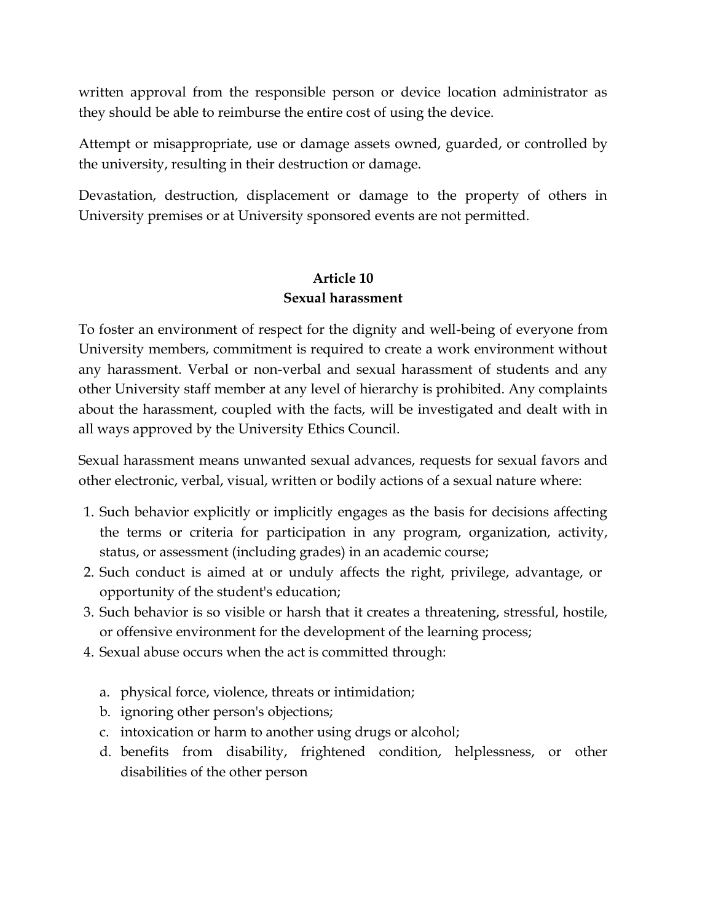written approval from the responsible person or device location administrator as they should be able to reimburse the entire cost of using the device.

Attempt or misappropriate, use or damage assets owned, guarded, or controlled by the university, resulting in their destruction or damage.

Devastation, destruction, displacement or damage to the property of others in University premises or at University sponsored events are not permitted.

## **Article 10 Sexual harassment**

To foster an environment of respect for the dignity and well-being of everyone from University members, commitment is required to create a work environment without any harassment. Verbal or non-verbal and sexual harassment of students and any other University staff member at any level of hierarchy is prohibited. Any complaints about the harassment, coupled with the facts, will be investigated and dealt with in all ways approved by the University Ethics Council.

Sexual harassment means unwanted sexual advances, requests for sexual favors and other electronic, verbal, visual, written or bodily actions of a sexual nature where:

- 1. Such behavior explicitly or implicitly engages as the basis for decisions affecting the terms or criteria for participation in any program, organization, activity, status, or assessment (including grades) in an academic course;
- 2. Such conduct is aimed at or unduly affects the right, privilege, advantage, or opportunity of the student's education;
- 3. Such behavior is so visible or harsh that it creates a threatening, stressful, hostile, or offensive environment for the development of the learning process;
- 4. Sexual abuse occurs when the act is committed through:
	- a. physical force, violence, threats or intimidation;
	- b. ignoring other person's objections;
	- c. intoxication or harm to another using drugs or alcohol;
	- d. benefits from disability, frightened condition, helplessness, or other disabilities of the other person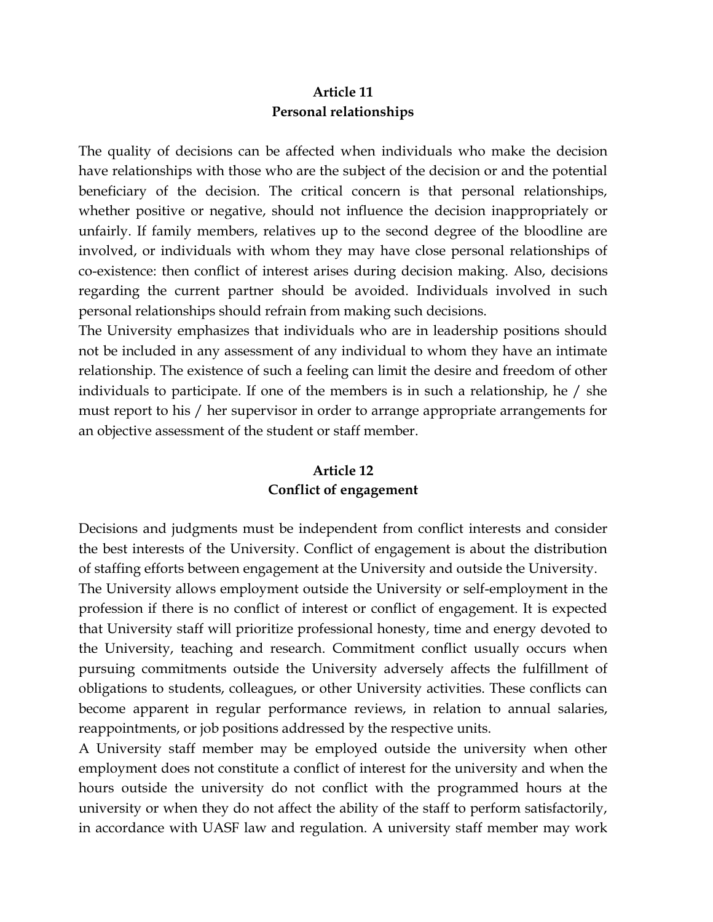### **Article 11 Personal relationships**

The quality of decisions can be affected when individuals who make the decision have relationships with those who are the subject of the decision or and the potential beneficiary of the decision. The critical concern is that personal relationships, whether positive or negative, should not influence the decision inappropriately or unfairly. If family members, relatives up to the second degree of the bloodline are involved, or individuals with whom they may have close personal relationships of co-existence: then conflict of interest arises during decision making. Also, decisions regarding the current partner should be avoided. Individuals involved in such personal relationships should refrain from making such decisions.

The University emphasizes that individuals who are in leadership positions should not be included in any assessment of any individual to whom they have an intimate relationship. The existence of such a feeling can limit the desire and freedom of other individuals to participate. If one of the members is in such a relationship, he / she must report to his / her supervisor in order to arrange appropriate arrangements for an objective assessment of the student or staff member.

## **Article 12 Conflict of engagement**

Decisions and judgments must be independent from conflict interests and consider the best interests of the University. Conflict of engagement is about the distribution of staffing efforts between engagement at the University and outside the University. The University allows employment outside the University or self-employment in the profession if there is no conflict of interest or conflict of engagement. It is expected that University staff will prioritize professional honesty, time and energy devoted to the University, teaching and research. Commitment conflict usually occurs when pursuing commitments outside the University adversely affects the fulfillment of obligations to students, colleagues, or other University activities. These conflicts can become apparent in regular performance reviews, in relation to annual salaries, reappointments, or job positions addressed by the respective units.

A University staff member may be employed outside the university when other employment does not constitute a conflict of interest for the university and when the hours outside the university do not conflict with the programmed hours at the university or when they do not affect the ability of the staff to perform satisfactorily, in accordance with UASF law and regulation. A university staff member may work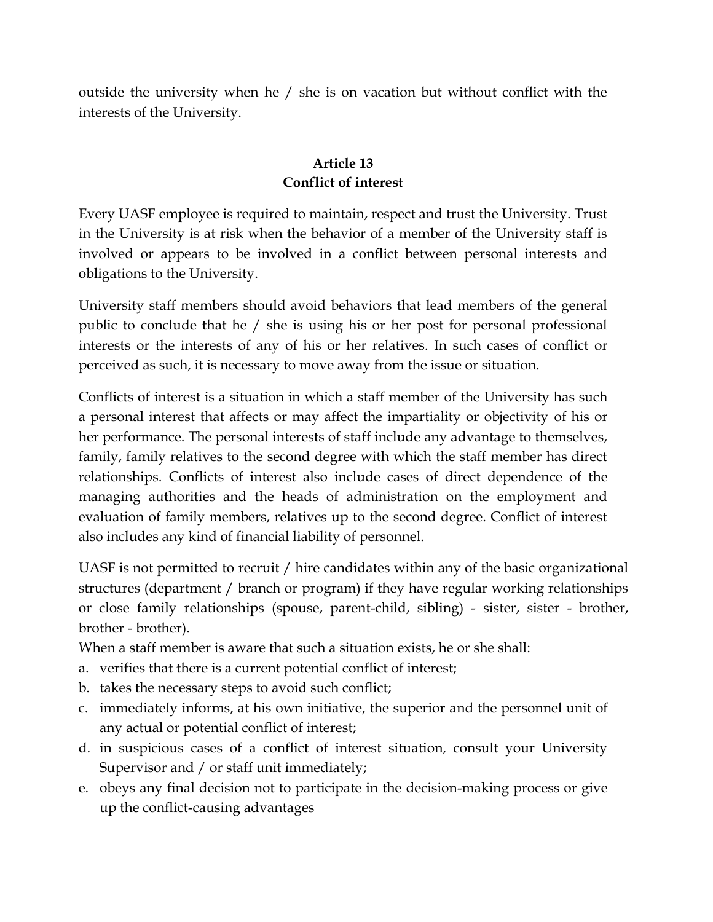outside the university when he / she is on vacation but without conflict with the interests of the University.

## **Article 13 Conflict of interest**

Every UASF employee is required to maintain, respect and trust the University. Trust in the University is at risk when the behavior of a member of the University staff is involved or appears to be involved in a conflict between personal interests and obligations to the University.

University staff members should avoid behaviors that lead members of the general public to conclude that he / she is using his or her post for personal professional interests or the interests of any of his or her relatives. In such cases of conflict or perceived as such, it is necessary to move away from the issue or situation.

Conflicts of interest is a situation in which a staff member of the University has such a personal interest that affects or may affect the impartiality or objectivity of his or her performance. The personal interests of staff include any advantage to themselves, family, family relatives to the second degree with which the staff member has direct relationships. Conflicts of interest also include cases of direct dependence of the managing authorities and the heads of administration on the employment and evaluation of family members, relatives up to the second degree. Conflict of interest also includes any kind of financial liability of personnel.

UASF is not permitted to recruit / hire candidates within any of the basic organizational structures (department / branch or program) if they have regular working relationships or close family relationships (spouse, parent-child, sibling) - sister, sister - brother, brother - brother).

When a staff member is aware that such a situation exists, he or she shall:

- a. verifies that there is a current potential conflict of interest;
- b. takes the necessary steps to avoid such conflict;
- c. immediately informs, at his own initiative, the superior and the personnel unit of any actual or potential conflict of interest;
- d. in suspicious cases of a conflict of interest situation, consult your University Supervisor and / or staff unit immediately;
- e. obeys any final decision not to participate in the decision-making process or give up the conflict-causing advantages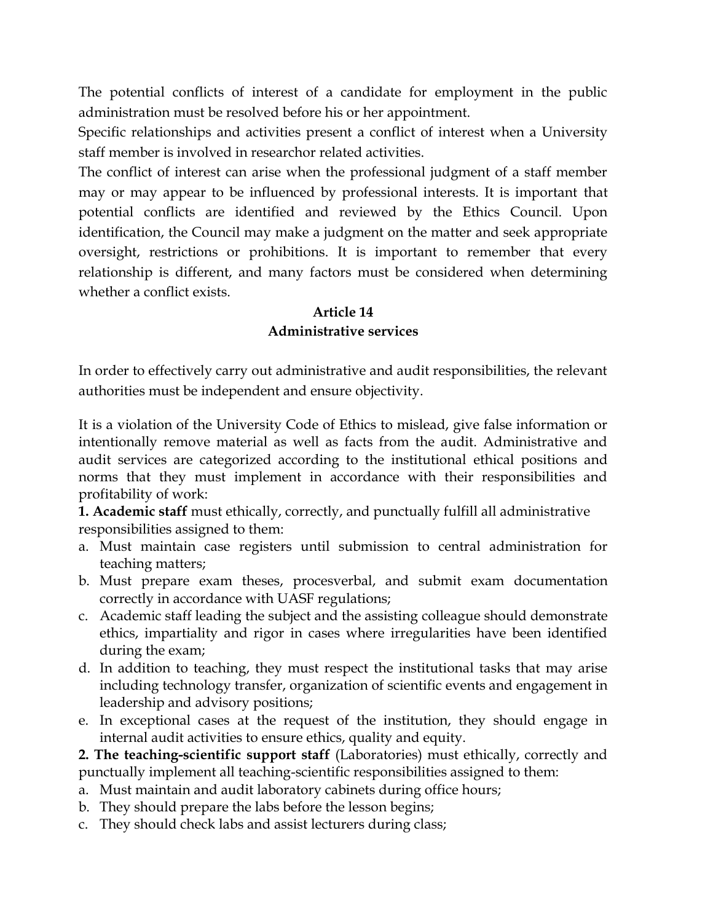The potential conflicts of interest of a candidate for employment in the public administration must be resolved before his or her appointment.

Specific relationships and activities present a conflict of interest when a University staff member is involved in researchor related activities.

The conflict of interest can arise when the professional judgment of a staff member may or may appear to be influenced by professional interests. It is important that potential conflicts are identified and reviewed by the Ethics Council. Upon identification, the Council may make a judgment on the matter and seek appropriate oversight, restrictions or prohibitions. It is important to remember that every relationship is different, and many factors must be considered when determining whether a conflict exists.

## **Article 14 Administrative services**

In order to effectively carry out administrative and audit responsibilities, the relevant authorities must be independent and ensure objectivity.

It is a violation of the University Code of Ethics to mislead, give false information or intentionally remove material as well as facts from the audit. Administrative and audit services are categorized according to the institutional ethical positions and norms that they must implement in accordance with their responsibilities and profitability of work:

**1. Academic staff** must ethically, correctly, and punctually fulfill all administrative responsibilities assigned to them:

- a. Must maintain case registers until submission to central administration for teaching matters;
- b. Must prepare exam theses, procesverbal, and submit exam documentation correctly in accordance with UASF regulations;
- c. Academic staff leading the subject and the assisting colleague should demonstrate ethics, impartiality and rigor in cases where irregularities have been identified during the exam;
- d. In addition to teaching, they must respect the institutional tasks that may arise including technology transfer, organization of scientific events and engagement in leadership and advisory positions;
- e. In exceptional cases at the request of the institution, they should engage in internal audit activities to ensure ethics, quality and equity.

**2. The teaching-scientific support staff** (Laboratories) must ethically, correctly and punctually implement all teaching-scientific responsibilities assigned to them:

- a. Must maintain and audit laboratory cabinets during office hours;
- b. They should prepare the labs before the lesson begins;
- c. They should check labs and assist lecturers during class;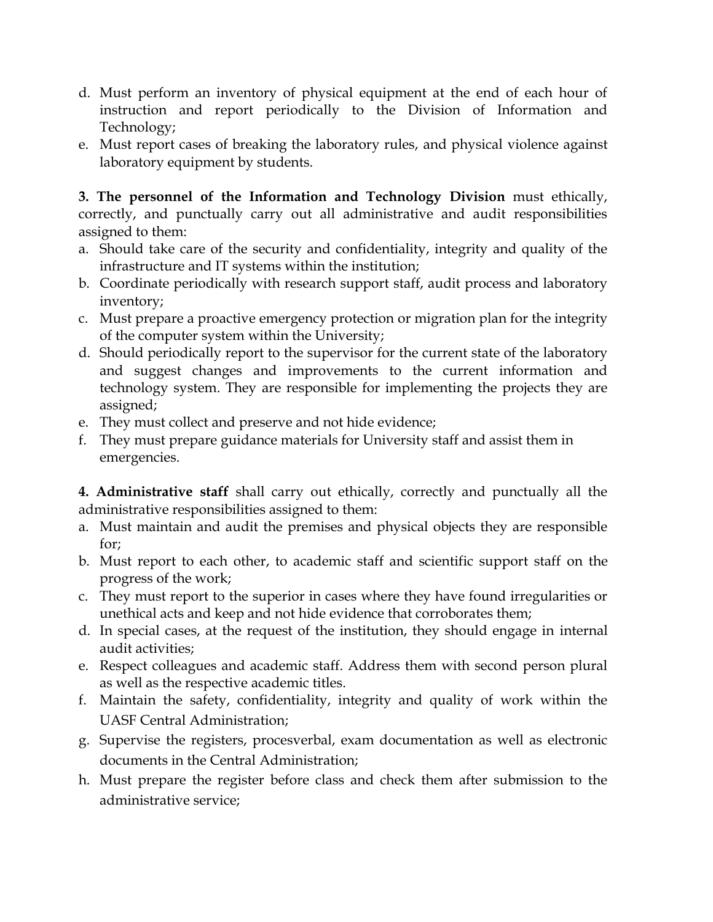- d. Must perform an inventory of physical equipment at the end of each hour of instruction and report periodically to the Division of Information and Technology;
- e. Must report cases of breaking the laboratory rules, and physical violence against laboratory equipment by students.

**3. The personnel of the Information and Technology Division** must ethically, correctly, and punctually carry out all administrative and audit responsibilities assigned to them:

- a. Should take care of the security and confidentiality, integrity and quality of the infrastructure and IT systems within the institution;
- b. Coordinate periodically with research support staff, audit process and laboratory inventory;
- c. Must prepare a proactive emergency protection or migration plan for the integrity of the computer system within the University;
- d. Should periodically report to the supervisor for the current state of the laboratory and suggest changes and improvements to the current information and technology system. They are responsible for implementing the projects they are assigned;
- e. They must collect and preserve and not hide evidence;
- f. They must prepare guidance materials for University staff and assist them in emergencies.

**4. Administrative staff** shall carry out ethically, correctly and punctually all the administrative responsibilities assigned to them:

- a. Must maintain and audit the premises and physical objects they are responsible for;
- b. Must report to each other, to academic staff and scientific support staff on the progress of the work;
- c. They must report to the superior in cases where they have found irregularities or unethical acts and keep and not hide evidence that corroborates them;
- d. In special cases, at the request of the institution, they should engage in internal audit activities;
- e. Respect colleagues and academic staff. Address them with second person plural as well as the respective academic titles.
- f. Maintain the safety, confidentiality, integrity and quality of work within the UASF Central Administration;
- g. Supervise the registers, procesverbal, exam documentation as well as electronic documents in the Central Administration;
- h. Must prepare the register before class and check them after submission to the administrative service;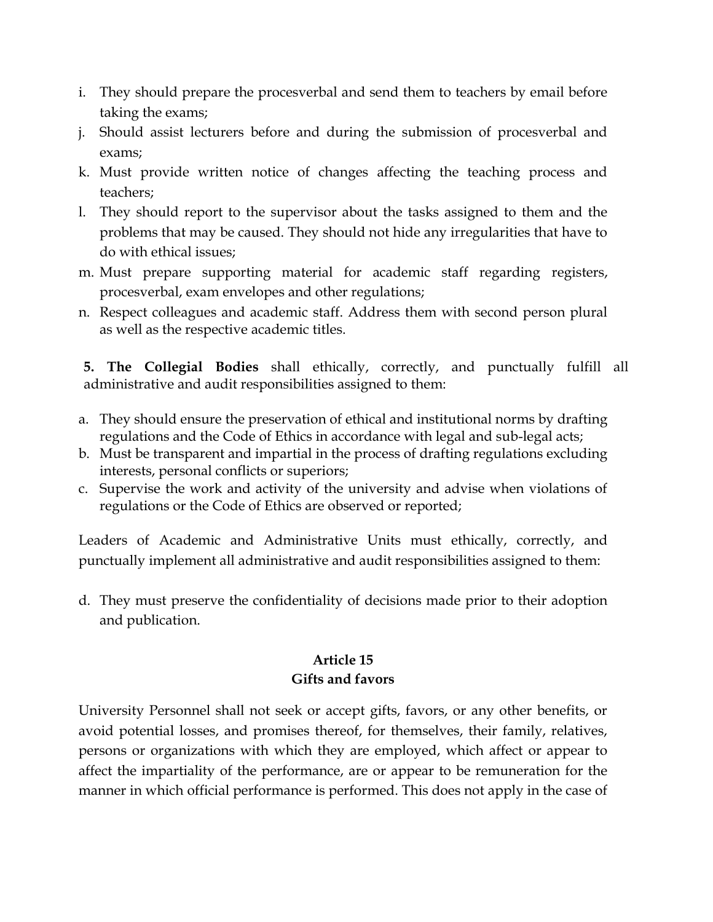- i. They should prepare the procesverbal and send them to teachers by email before taking the exams;
- j. Should assist lecturers before and during the submission of procesverbal and exams;
- k. Must provide written notice of changes affecting the teaching process and teachers;
- l. They should report to the supervisor about the tasks assigned to them and the problems that may be caused. They should not hide any irregularities that have to do with ethical issues;
- m. Must prepare supporting material for academic staff regarding registers, procesverbal, exam envelopes and other regulations;
- n. Respect colleagues and academic staff. Address them with second person plural as well as the respective academic titles.

**5. The Collegial Bodies** shall ethically, correctly, and punctually fulfill all administrative and audit responsibilities assigned to them:

- a. They should ensure the preservation of ethical and institutional norms by drafting regulations and the Code of Ethics in accordance with legal and sub-legal acts;
- b. Must be transparent and impartial in the process of drafting regulations excluding interests, personal conflicts or superiors;
- c. Supervise the work and activity of the university and advise when violations of regulations or the Code of Ethics are observed or reported;

Leaders of Academic and Administrative Units must ethically, correctly, and punctually implement all administrative and audit responsibilities assigned to them:

d. They must preserve the confidentiality of decisions made prior to their adoption and publication.

## **Article 15 Gifts and favors**

University Personnel shall not seek or accept gifts, favors, or any other benefits, or avoid potential losses, and promises thereof, for themselves, their family, relatives, persons or organizations with which they are employed, which affect or appear to affect the impartiality of the performance, are or appear to be remuneration for the manner in which official performance is performed. This does not apply in the case of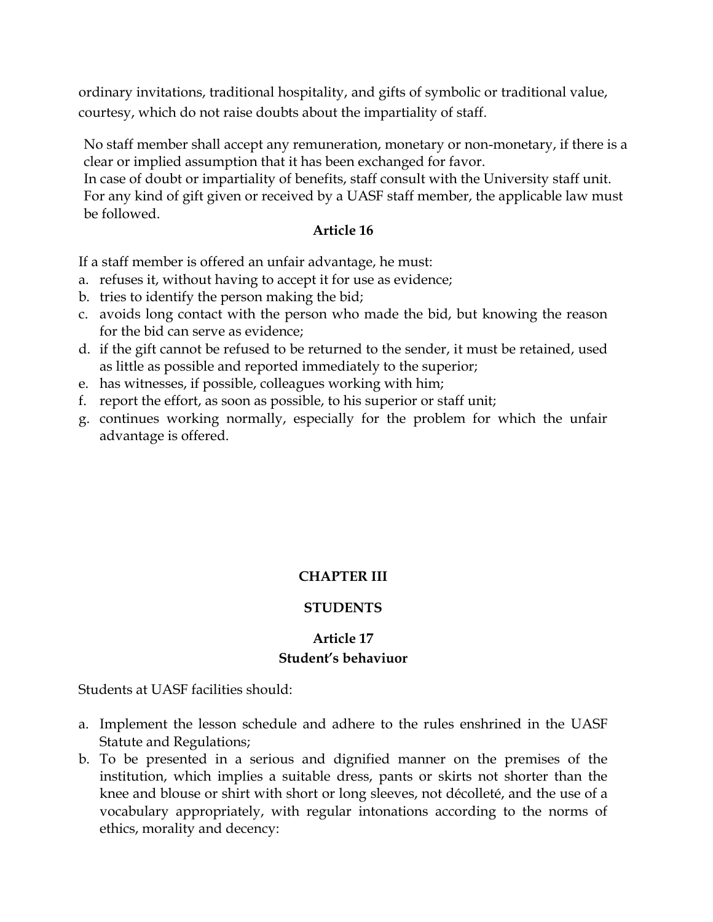ordinary invitations, traditional hospitality, and gifts of symbolic or traditional value, courtesy, which do not raise doubts about the impartiality of staff.

No staff member shall accept any remuneration, monetary or non-monetary, if there is a clear or implied assumption that it has been exchanged for favor.

In case of doubt or impartiality of benefits, staff consult with the University staff unit. For any kind of gift given or received by a UASF staff member, the applicable law must be followed.

#### **Article 16**

If a staff member is offered an unfair advantage, he must:

- a. refuses it, without having to accept it for use as evidence;
- b. tries to identify the person making the bid;
- c. avoids long contact with the person who made the bid, but knowing the reason for the bid can serve as evidence;
- d. if the gift cannot be refused to be returned to the sender, it must be retained, used as little as possible and reported immediately to the superior;
- e. has witnesses, if possible, colleagues working with him;
- f. report the effort, as soon as possible, to his superior or staff unit;
- g. continues working normally, especially for the problem for which the unfair advantage is offered.

## **CHAPTER III**

## **STUDENTS**

## **Article 17 Student's behaviuor**

Students at UASF facilities should:

- a. Implement the lesson schedule and adhere to the rules enshrined in the UASF Statute and Regulations;
- b. To be presented in a serious and dignified manner on the premises of the institution, which implies a suitable dress, pants or skirts not shorter than the knee and blouse or shirt with short or long sleeves, not décolleté, and the use of a vocabulary appropriately, with regular intonations according to the norms of ethics, morality and decency: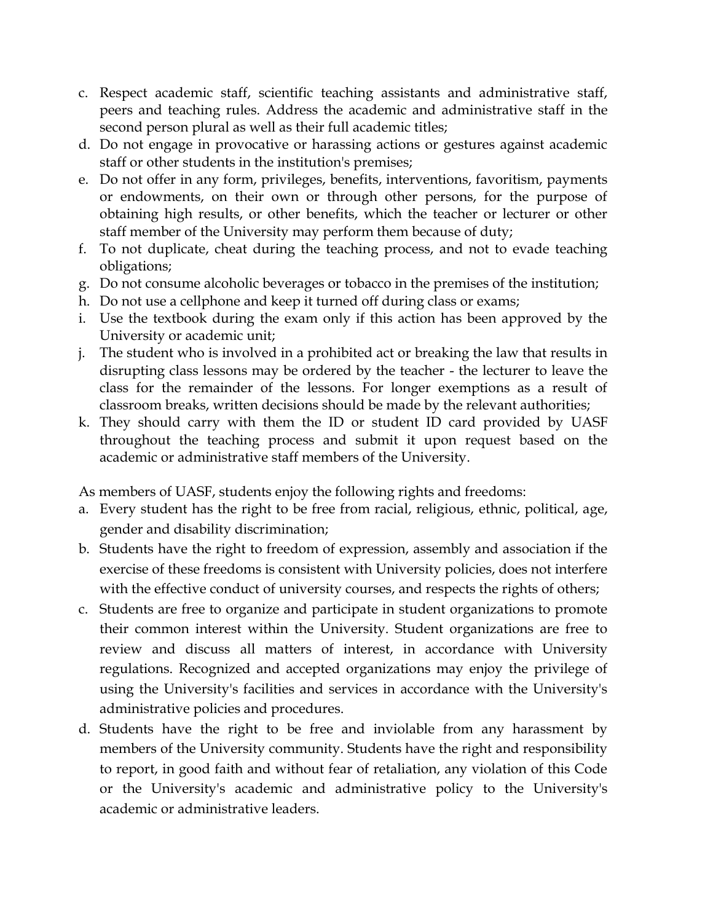- c. Respect academic staff, scientific teaching assistants and administrative staff, peers and teaching rules. Address the academic and administrative staff in the second person plural as well as their full academic titles;
- d. Do not engage in provocative or harassing actions or gestures against academic staff or other students in the institution's premises;
- e. Do not offer in any form, privileges, benefits, interventions, favoritism, payments or endowments, on their own or through other persons, for the purpose of obtaining high results, or other benefits, which the teacher or lecturer or other staff member of the University may perform them because of duty;
- f. To not duplicate, cheat during the teaching process, and not to evade teaching obligations;
- g. Do not consume alcoholic beverages or tobacco in the premises of the institution;
- h. Do not use a cellphone and keep it turned off during class or exams;
- i. Use the textbook during the exam only if this action has been approved by the University or academic unit;
- j. The student who is involved in a prohibited act or breaking the law that results in disrupting class lessons may be ordered by the teacher - the lecturer to leave the class for the remainder of the lessons. For longer exemptions as a result of classroom breaks, written decisions should be made by the relevant authorities;
- k. They should carry with them the ID or student ID card provided by UASF throughout the teaching process and submit it upon request based on the academic or administrative staff members of the University.

As members of UASF, students enjoy the following rights and freedoms:

- a. Every student has the right to be free from racial, religious, ethnic, political, age, gender and disability discrimination;
- b. Students have the right to freedom of expression, assembly and association if the exercise of these freedoms is consistent with University policies, does not interfere with the effective conduct of university courses, and respects the rights of others;
- c. Students are free to organize and participate in student organizations to promote their common interest within the University. Student organizations are free to review and discuss all matters of interest, in accordance with University regulations. Recognized and accepted organizations may enjoy the privilege of using the University's facilities and services in accordance with the University's administrative policies and procedures.
- d. Students have the right to be free and inviolable from any harassment by members of the University community. Students have the right and responsibility to report, in good faith and without fear of retaliation, any violation of this Code or the University's academic and administrative policy to the University's academic or administrative leaders.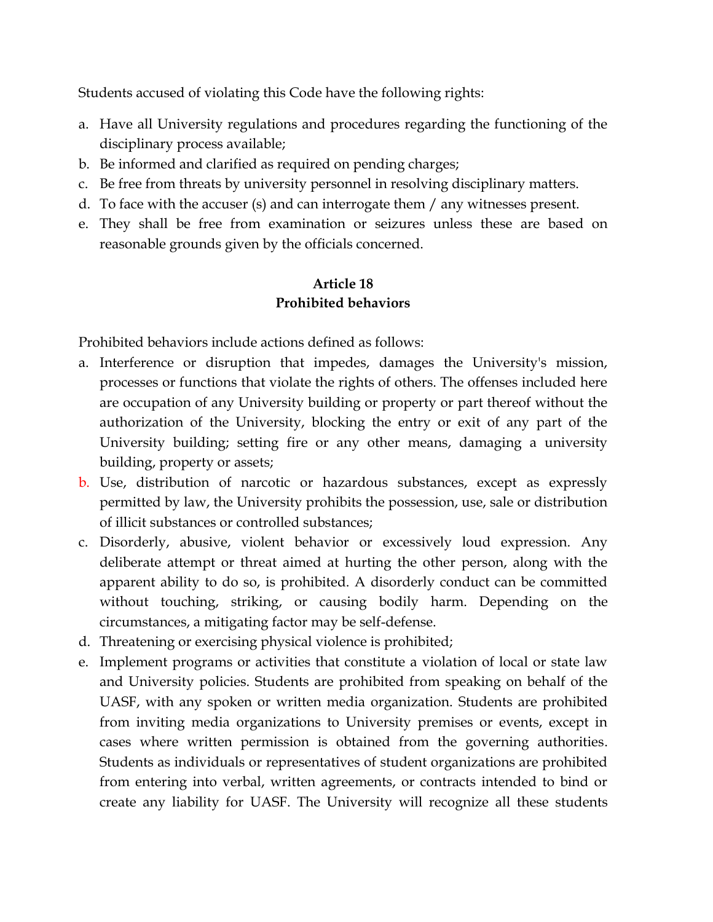Students accused of violating this Code have the following rights:

- a. Have all University regulations and procedures regarding the functioning of the disciplinary process available;
- b. Be informed and clarified as required on pending charges;
- c. Be free from threats by university personnel in resolving disciplinary matters.
- d. To face with the accuser (s) and can interrogate them / any witnesses present.
- e. They shall be free from examination or seizures unless these are based on reasonable grounds given by the officials concerned.

## **Article 18 Prohibited behaviors**

Prohibited behaviors include actions defined as follows:

- a. Interference or disruption that impedes, damages the University's mission, processes or functions that violate the rights of others. The offenses included here are occupation of any University building or property or part thereof without the authorization of the University, blocking the entry or exit of any part of the University building; setting fire or any other means, damaging a university building, property or assets;
- b. Use, distribution of narcotic or hazardous substances, except as expressly permitted by law, the University prohibits the possession, use, sale or distribution of illicit substances or controlled substances;
- c. Disorderly, abusive, violent behavior or excessively loud expression. Any deliberate attempt or threat aimed at hurting the other person, along with the apparent ability to do so, is prohibited. A disorderly conduct can be committed without touching, striking, or causing bodily harm. Depending on the circumstances, a mitigating factor may be self-defense.
- d. Threatening or exercising physical violence is prohibited;
- e. Implement programs or activities that constitute a violation of local or state law and University policies. Students are prohibited from speaking on behalf of the UASF, with any spoken or written media organization. Students are prohibited from inviting media organizations to University premises or events, except in cases where written permission is obtained from the governing authorities. Students as individuals or representatives of student organizations are prohibited from entering into verbal, written agreements, or contracts intended to bind or create any liability for UASF. The University will recognize all these students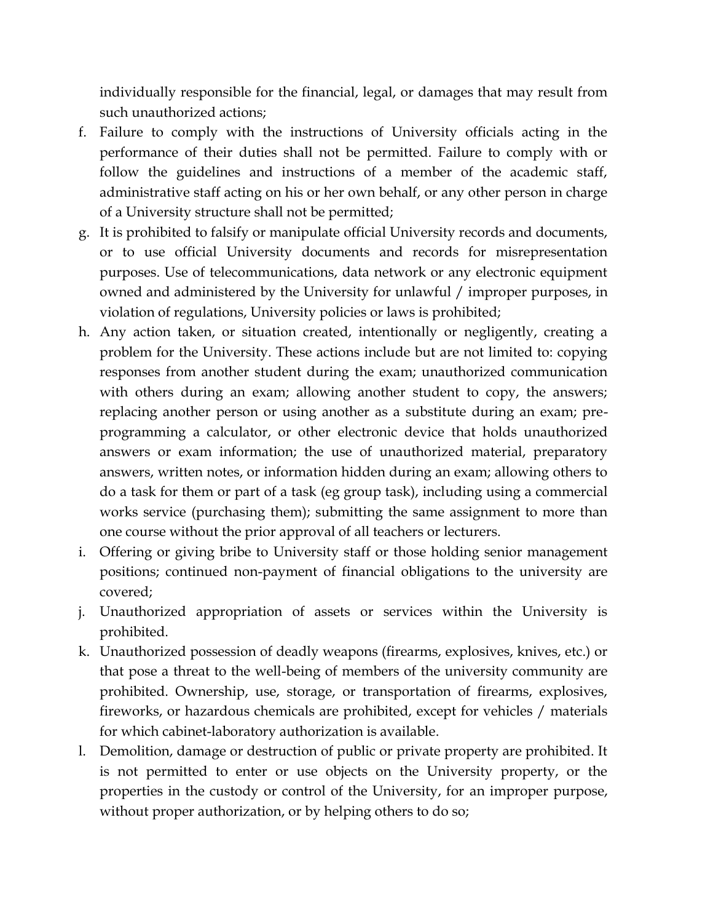individually responsible for the financial, legal, or damages that may result from such unauthorized actions;

- f. Failure to comply with the instructions of University officials acting in the performance of their duties shall not be permitted. Failure to comply with or follow the guidelines and instructions of a member of the academic staff, administrative staff acting on his or her own behalf, or any other person in charge of a University structure shall not be permitted;
- g. It is prohibited to falsify or manipulate official University records and documents, or to use official University documents and records for misrepresentation purposes. Use of telecommunications, data network or any electronic equipment owned and administered by the University for unlawful / improper purposes, in violation of regulations, University policies or laws is prohibited;
- h. Any action taken, or situation created, intentionally or negligently, creating a problem for the University. These actions include but are not limited to: copying responses from another student during the exam; unauthorized communication with others during an exam; allowing another student to copy, the answers; replacing another person or using another as a substitute during an exam; preprogramming a calculator, or other electronic device that holds unauthorized answers or exam information; the use of unauthorized material, preparatory answers, written notes, or information hidden during an exam; allowing others to do a task for them or part of a task (eg group task), including using a commercial works service (purchasing them); submitting the same assignment to more than one course without the prior approval of all teachers or lecturers.
- i. Offering or giving bribe to University staff or those holding senior management positions; continued non-payment of financial obligations to the university are covered;
- j. Unauthorized appropriation of assets or services within the University is prohibited.
- k. Unauthorized possession of deadly weapons (firearms, explosives, knives, etc.) or that pose a threat to the well-being of members of the university community are prohibited. Ownership, use, storage, or transportation of firearms, explosives, fireworks, or hazardous chemicals are prohibited, except for vehicles / materials for which cabinet-laboratory authorization is available.
- l. Demolition, damage or destruction of public or private property are prohibited. It is not permitted to enter or use objects on the University property, or the properties in the custody or control of the University, for an improper purpose, without proper authorization, or by helping others to do so;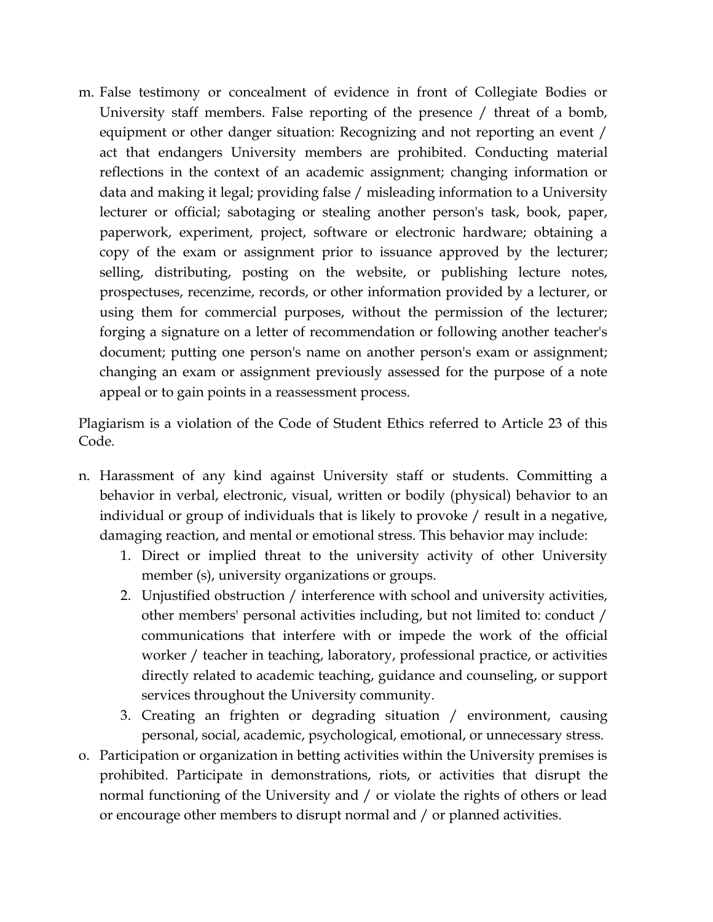m. False testimony or concealment of evidence in front of Collegiate Bodies or University staff members. False reporting of the presence / threat of a bomb, equipment or other danger situation: Recognizing and not reporting an event / act that endangers University members are prohibited. Conducting material reflections in the context of an academic assignment; changing information or data and making it legal; providing false / misleading information to a University lecturer or official; sabotaging or stealing another person's task, book, paper, paperwork, experiment, project, software or electronic hardware; obtaining a copy of the exam or assignment prior to issuance approved by the lecturer; selling, distributing, posting on the website, or publishing lecture notes, prospectuses, recenzime, records, or other information provided by a lecturer, or using them for commercial purposes, without the permission of the lecturer; forging a signature on a letter of recommendation or following another teacher's document; putting one person's name on another person's exam or assignment; changing an exam or assignment previously assessed for the purpose of a note appeal or to gain points in a reassessment process.

Plagiarism is a violation of the Code of Student Ethics referred to Article 23 of this Code.

- n. Harassment of any kind against University staff or students. Committing a behavior in verbal, electronic, visual, written or bodily (physical) behavior to an individual or group of individuals that is likely to provoke / result in a negative, damaging reaction, and mental or emotional stress. This behavior may include:
	- 1. Direct or implied threat to the university activity of other University member (s), university organizations or groups.
	- 2. Unjustified obstruction / interference with school and university activities, other members' personal activities including, but not limited to: conduct / communications that interfere with or impede the work of the official worker / teacher in teaching, laboratory, professional practice, or activities directly related to academic teaching, guidance and counseling, or support services throughout the University community.
	- 3. Creating an frighten or degrading situation / environment, causing personal, social, academic, psychological, emotional, or unnecessary stress.
- o. Participation or organization in betting activities within the University premises is prohibited. Participate in demonstrations, riots, or activities that disrupt the normal functioning of the University and / or violate the rights of others or lead or encourage other members to disrupt normal and / or planned activities.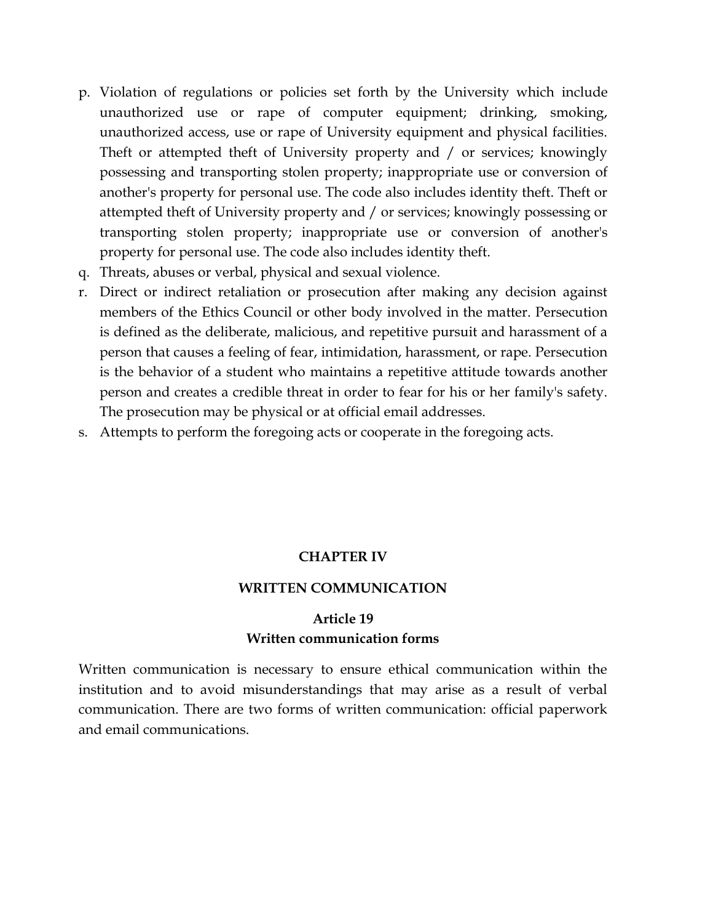- p. Violation of regulations or policies set forth by the University which include unauthorized use or rape of computer equipment; drinking, smoking, unauthorized access, use or rape of University equipment and physical facilities. Theft or attempted theft of University property and / or services; knowingly possessing and transporting stolen property; inappropriate use or conversion of another's property for personal use. The code also includes identity theft. Theft or attempted theft of University property and / or services; knowingly possessing or transporting stolen property; inappropriate use or conversion of another's property for personal use. The code also includes identity theft.
- q. Threats, abuses or verbal, physical and sexual violence.
- r. Direct or indirect retaliation or prosecution after making any decision against members of the Ethics Council or other body involved in the matter. Persecution is defined as the deliberate, malicious, and repetitive pursuit and harassment of a person that causes a feeling of fear, intimidation, harassment, or rape. Persecution is the behavior of a student who maintains a repetitive attitude towards another person and creates a credible threat in order to fear for his or her family's safety. The prosecution may be physical or at official email addresses.
- s. Attempts to perform the foregoing acts or cooperate in the foregoing acts.

#### **CHAPTER IV**

#### **WRITTEN COMMUNICATION**

## **Article 19 Written communication forms**

Written communication is necessary to ensure ethical communication within the institution and to avoid misunderstandings that may arise as a result of verbal communication. There are two forms of written communication: official paperwork and email communications.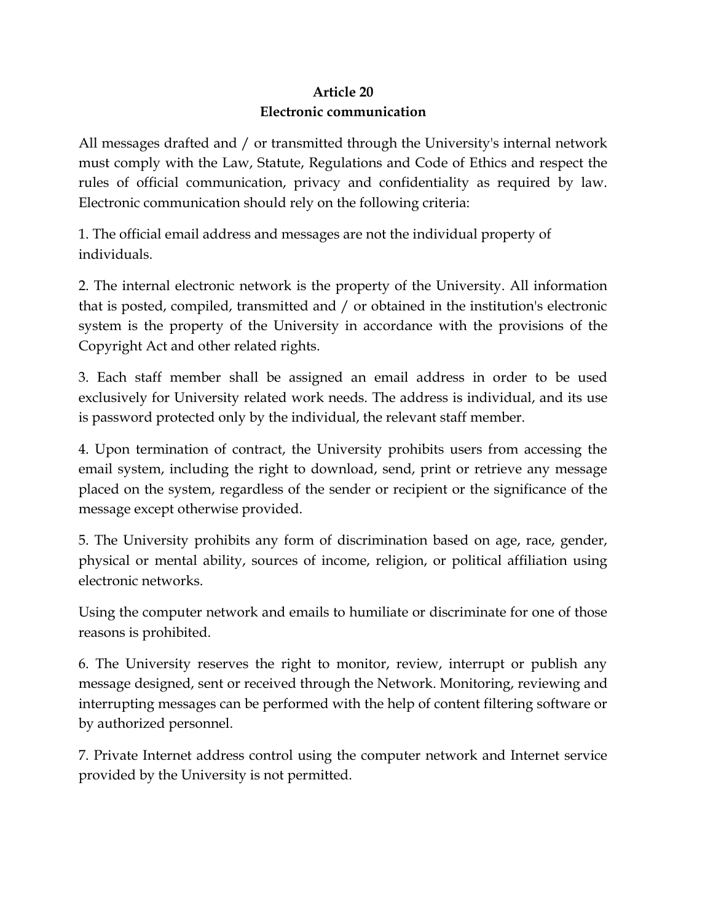## **Article 20 Electronic communication**

All messages drafted and / or transmitted through the University's internal network must comply with the Law, Statute, Regulations and Code of Ethics and respect the rules of official communication, privacy and confidentiality as required by law. Electronic communication should rely on the following criteria:

1. The official email address and messages are not the individual property of individuals.

2. The internal electronic network is the property of the University. All information that is posted, compiled, transmitted and / or obtained in the institution's electronic system is the property of the University in accordance with the provisions of the Copyright Act and other related rights.

3. Each staff member shall be assigned an email address in order to be used exclusively for University related work needs. The address is individual, and its use is password protected only by the individual, the relevant staff member.

4. Upon termination of contract, the University prohibits users from accessing the email system, including the right to download, send, print or retrieve any message placed on the system, regardless of the sender or recipient or the significance of the message except otherwise provided.

5. The University prohibits any form of discrimination based on age, race, gender, physical or mental ability, sources of income, religion, or political affiliation using electronic networks.

Using the computer network and emails to humiliate or discriminate for one of those reasons is prohibited.

6. The University reserves the right to monitor, review, interrupt or publish any message designed, sent or received through the Network. Monitoring, reviewing and interrupting messages can be performed with the help of content filtering software or by authorized personnel.

7. Private Internet address control using the computer network and Internet service provided by the University is not permitted.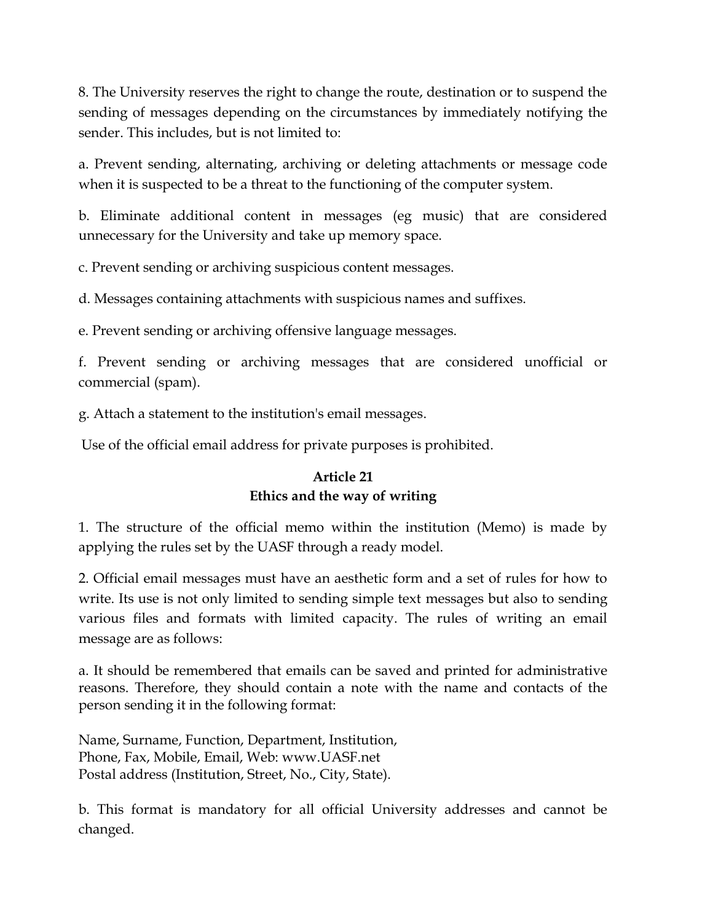8. The University reserves the right to change the route, destination or to suspend the sending of messages depending on the circumstances by immediately notifying the sender. This includes, but is not limited to:

a. Prevent sending, alternating, archiving or deleting attachments or message code when it is suspected to be a threat to the functioning of the computer system.

b. Eliminate additional content in messages (eg music) that are considered unnecessary for the University and take up memory space.

c. Prevent sending or archiving suspicious content messages.

d. Messages containing attachments with suspicious names and suffixes.

e. Prevent sending or archiving offensive language messages.

f. Prevent sending or archiving messages that are considered unofficial or commercial (spam).

g. Attach a statement to the institution's email messages.

Use of the official email address for private purposes is prohibited.

## **Article 21 Ethics and the way of writing**

1. The structure of the official memo within the institution (Memo) is made by applying the rules set by the UASF through a ready model.

2. Official email messages must have an aesthetic form and a set of rules for how to write. Its use is not only limited to sending simple text messages but also to sending various files and formats with limited capacity. The rules of writing an email message are as follows:

a. It should be remembered that emails can be saved and printed for administrative reasons. Therefore, they should contain a note with the name and contacts of the person sending it in the following format:

Name, Surname, Function, Department, Institution, Phone, Fax, Mobile, Email, Web: www.UASF.net Postal address (Institution, Street, No., City, State).

b. This format is mandatory for all official University addresses and cannot be changed.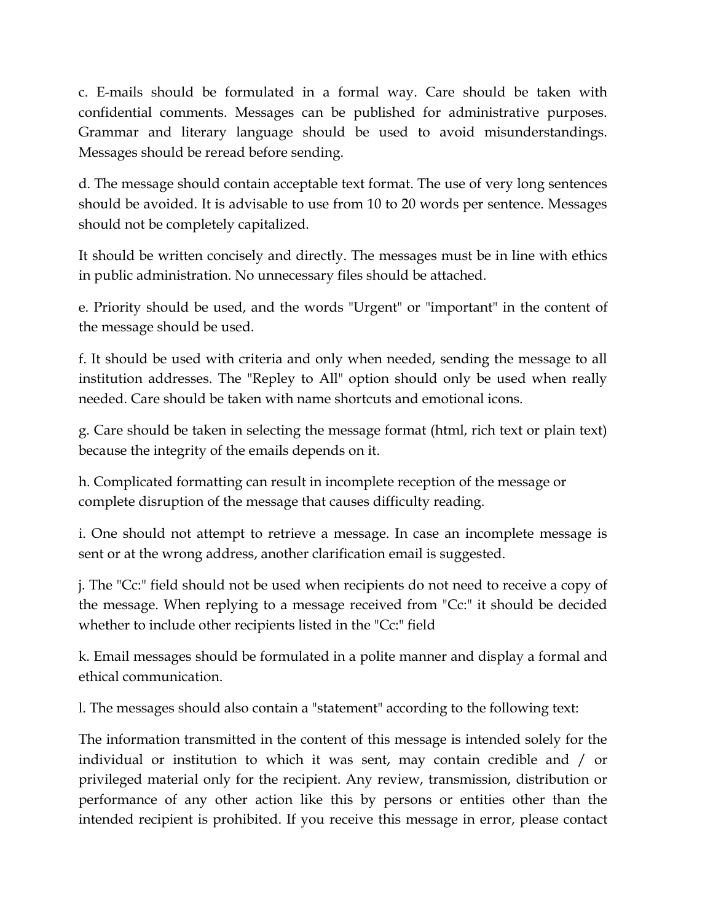c. E-mails should be formulated in a formal way. Care should be taken with confidential comments. Messages can be published for administrative purposes. Grammar and literary language should be used to avoid misunderstandings. Messages should be reread before sending.

d. The message should contain acceptable text format. The use of very long sentences should be avoided. It is advisable to use from 10 to 20 words per sentence. Messages should not be completely capitalized.

It should be written concisely and directly. The messages must be in line with ethics in public administration. No unnecessary files should be attached.

e. Priority should be used, and the words "Urgent" or "important" in the content of the message should be used.

f. It should be used with criteria and only when needed, sending the message to all institution addresses. The "Repley to All" option should only be used when really needed. Care should be taken with name shortcuts and emotional icons.

g. Care should be taken in selecting the message format (html, rich text or plain text) because the integrity of the emails depends on it.

h. Complicated formatting can result in incomplete reception of the message or complete disruption of the message that causes difficulty reading.

i. One should not attempt to retrieve a message. In case an incomplete message is sent or at the wrong address, another clarification email is suggested.

j. The "Cc:" field should not be used when recipients do not need to receive a copy of the message. When replying to a message received from "Cc:" it should be decided whether to include other recipients listed in the "Cc:" field

k. Email messages should be formulated in a polite manner and display a formal and ethical communication.

l. The messages should also contain a "statement" according to the following text:

The information transmitted in the content of this message is intended solely for the individual or institution to which it was sent, may contain credible and / or privileged material only for the recipient. Any review, transmission, distribution or performance of any other action like this by persons or entities other than the intended recipient is prohibited. If you receive this message in error, please contact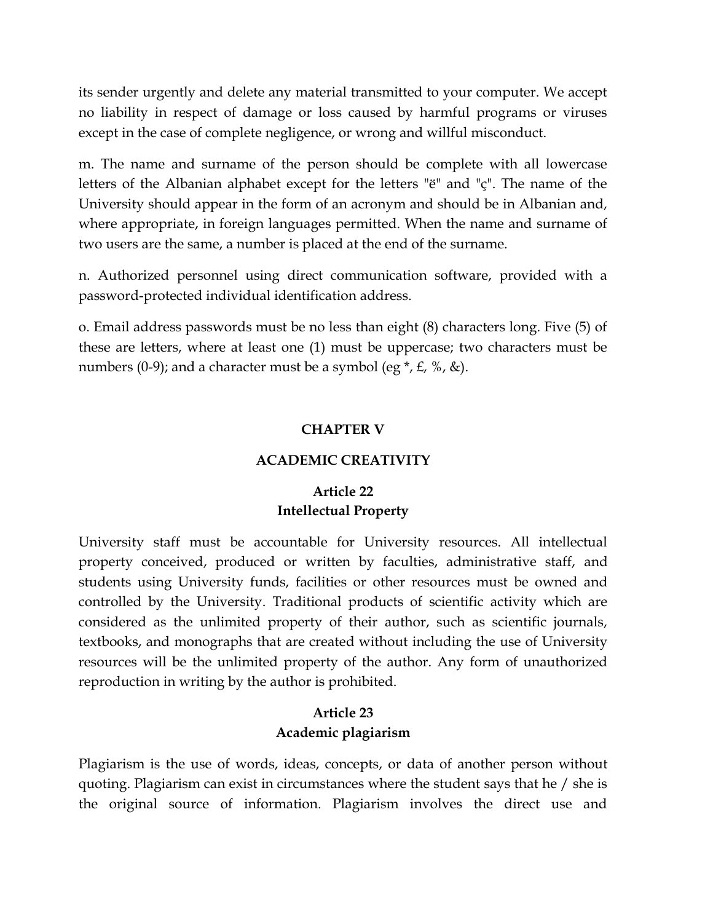its sender urgently and delete any material transmitted to your computer. We accept no liability in respect of damage or loss caused by harmful programs or viruses except in the case of complete negligence, or wrong and willful misconduct.

m. The name and surname of the person should be complete with all lowercase letters of the Albanian alphabet except for the letters "ë" and "ç". The name of the University should appear in the form of an acronym and should be in Albanian and, where appropriate, in foreign languages permitted. When the name and surname of two users are the same, a number is placed at the end of the surname.

n. Authorized personnel using direct communication software, provided with a password-protected individual identification address.

o. Email address passwords must be no less than eight (8) characters long. Five (5) of these are letters, where at least one (1) must be uppercase; two characters must be numbers (0-9); and a character must be a symbol (eg  $*, \mathcal{L}, \mathcal{K}, \&$ ).

#### **CHAPTER V**

#### **ACADEMIC CREATIVITY**

## **Article 22 Intellectual Property**

University staff must be accountable for University resources. All intellectual property conceived, produced or written by faculties, administrative staff, and students using University funds, facilities or other resources must be owned and controlled by the University. Traditional products of scientific activity which are considered as the unlimited property of their author, such as scientific journals, textbooks, and monographs that are created without including the use of University resources will be the unlimited property of the author. Any form of unauthorized reproduction in writing by the author is prohibited.

### **Article 23 Academic plagiarism**

Plagiarism is the use of words, ideas, concepts, or data of another person without quoting. Plagiarism can exist in circumstances where the student says that he / she is the original source of information. Plagiarism involves the direct use and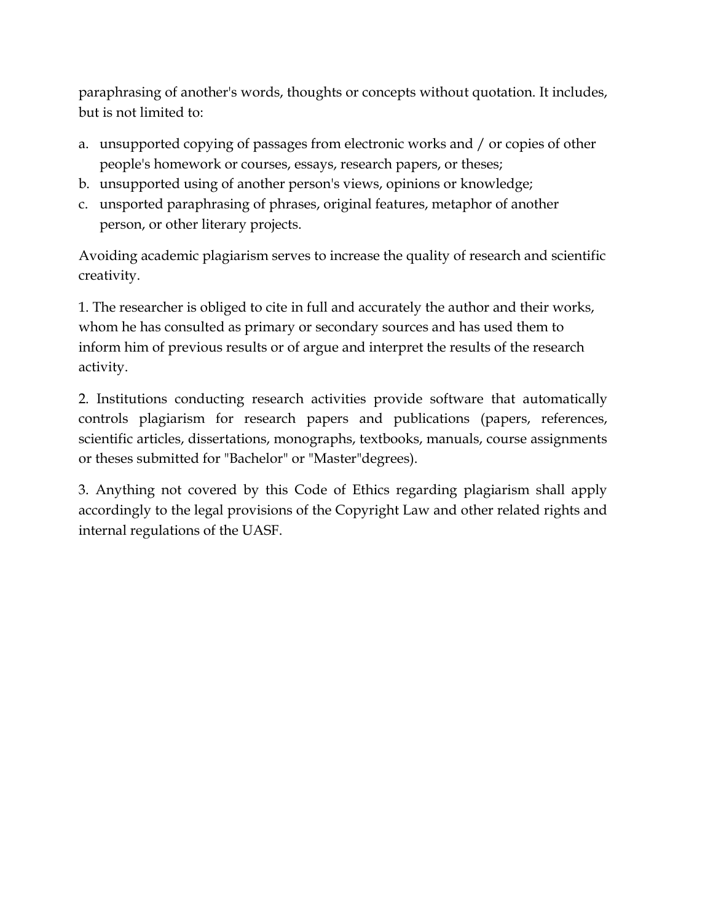paraphrasing of another's words, thoughts or concepts without quotation. It includes, but is not limited to:

- a. unsupported copying of passages from electronic works and / or copies of other people's homework or courses, essays, research papers, or theses;
- b. unsupported using of another person's views, opinions or knowledge;
- c. unsported paraphrasing of phrases, original features, metaphor of another person, or other literary projects.

Avoiding academic plagiarism serves to increase the quality of research and scientific creativity.

1. The researcher is obliged to cite in full and accurately the author and their works, whom he has consulted as primary or secondary sources and has used them to inform him of previous results or of argue and interpret the results of the research activity.

2. Institutions conducting research activities provide software that automatically controls plagiarism for research papers and publications (papers, references, scientific articles, dissertations, monographs, textbooks, manuals, course assignments or theses submitted for "Bachelor" or "Master"degrees).

3. Anything not covered by this Code of Ethics regarding plagiarism shall apply accordingly to the legal provisions of the Copyright Law and other related rights and internal regulations of the UASF.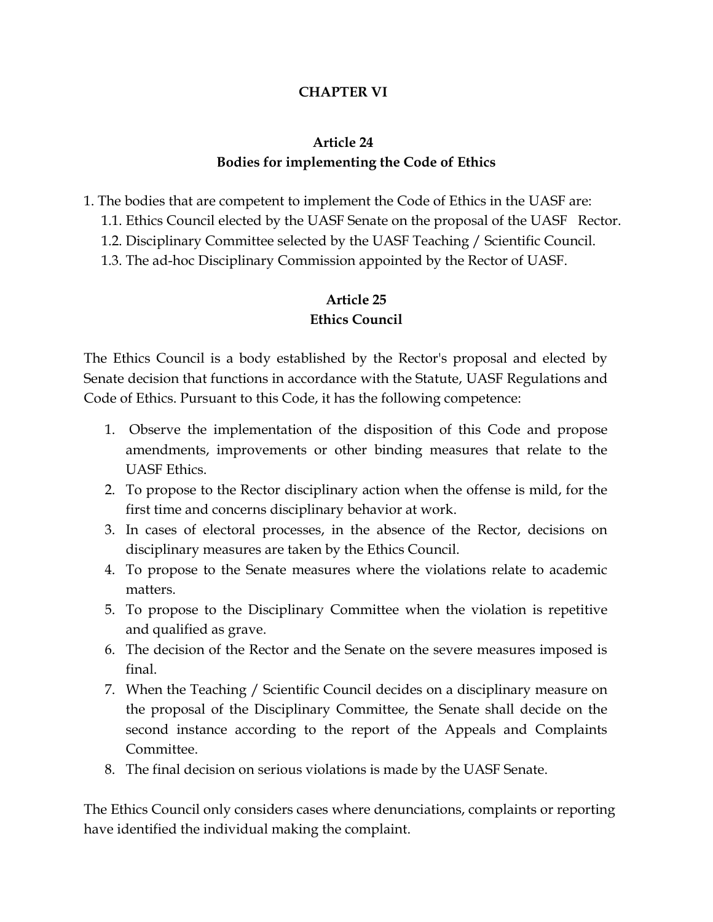## **CHAPTER VI**

## **Article 24 Bodies for implementing the Code of Ethics**

- 1. The bodies that are competent to implement the Code of Ethics in the UASF are:
	- 1.1. Ethics Council elected by the UASF Senate on the proposal of the UASF Rector.
	- 1.2. Disciplinary Committee selected by the UASF Teaching / Scientific Council.
	- 1.3. The ad-hoc Disciplinary Commission appointed by the Rector of UASF.

## **Article 25 Ethics Council**

The Ethics Council is a body established by the Rector's proposal and elected by Senate decision that functions in accordance with the Statute, UASF Regulations and Code of Ethics. Pursuant to this Code, it has the following competence:

- 1. Observe the implementation of the disposition of this Code and propose amendments, improvements or other binding measures that relate to the UASF Ethics.
- 2. To propose to the Rector disciplinary action when the offense is mild, for the first time and concerns disciplinary behavior at work.
- 3. In cases of electoral processes, in the absence of the Rector, decisions on disciplinary measures are taken by the Ethics Council.
- 4. To propose to the Senate measures where the violations relate to academic matters.
- 5. To propose to the Disciplinary Committee when the violation is repetitive and qualified as grave.
- 6. The decision of the Rector and the Senate on the severe measures imposed is final.
- 7. When the Teaching / Scientific Council decides on a disciplinary measure on the proposal of the Disciplinary Committee, the Senate shall decide on the second instance according to the report of the Appeals and Complaints Committee.
- 8. The final decision on serious violations is made by the UASF Senate.

The Ethics Council only considers cases where denunciations, complaints or reporting have identified the individual making the complaint.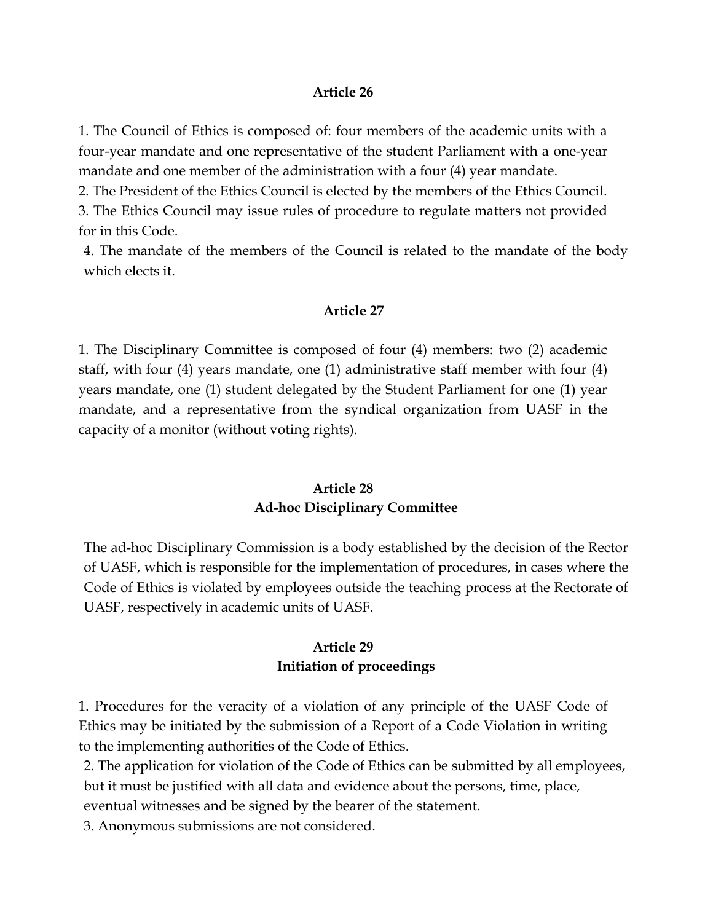#### **Article 26**

1. The Council of Ethics is composed of: four members of the academic units with a four-year mandate and one representative of the student Parliament with a one-year mandate and one member of the administration with a four (4) year mandate.

2. The President of the Ethics Council is elected by the members of the Ethics Council.

3. The Ethics Council may issue rules of procedure to regulate matters not provided for in this Code.

4. The mandate of the members of the Council is related to the mandate of the body which elects it.

#### **Article 27**

1. The Disciplinary Committee is composed of four (4) members: two (2) academic staff, with four (4) years mandate, one (1) administrative staff member with four (4) years mandate, one (1) student delegated by the Student Parliament for one (1) year mandate, and a representative from the syndical organization from UASF in the capacity of a monitor (without voting rights).

### **Article 28 Ad-hoc Disciplinary Committee**

The ad-hoc Disciplinary Commission is a body established by the decision of the Rector of UASF, which is responsible for the implementation of procedures, in cases where the Code of Ethics is violated by employees outside the teaching process at the Rectorate of UASF, respectively in academic units of UASF.

## **Article 29 Initiation of proceedings**

1. Procedures for the veracity of a violation of any principle of the UASF Code of Ethics may be initiated by the submission of a Report of a Code Violation in writing to the implementing authorities of the Code of Ethics.

2. The application for violation of the Code of Ethics can be submitted by all employees, but it must be justified with all data and evidence about the persons, time, place,

eventual witnesses and be signed by the bearer of the statement.

3. Anonymous submissions are not considered.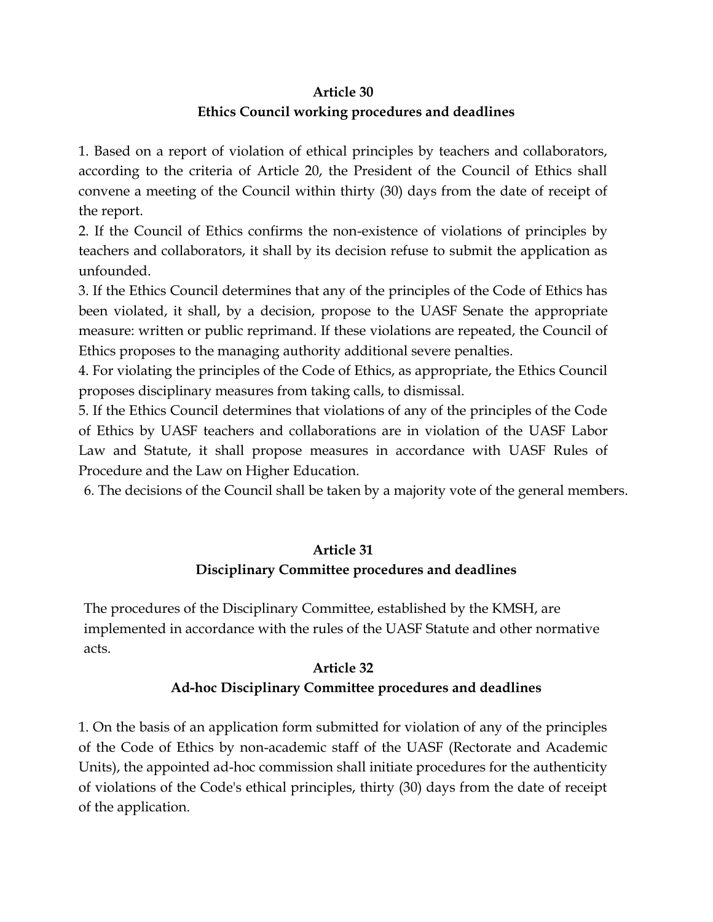#### **Article 30**

#### **Ethics Council working procedures and deadlines**

1. Based on a report of violation of ethical principles by teachers and collaborators, according to the criteria of Article 20, the President of the Council of Ethics shall convene a meeting of the Council within thirty (30) days from the date of receipt of the report.

2. If the Council of Ethics confirms the non-existence of violations of principles by teachers and collaborators, it shall by its decision refuse to submit the application as unfounded.

3. If the Ethics Council determines that any of the principles of the Code of Ethics has been violated, it shall, by a decision, propose to the UASF Senate the appropriate measure: written or public reprimand. If these violations are repeated, the Council of Ethics proposes to the managing authority additional severe penalties.

4. For violating the principles of the Code of Ethics, as appropriate, the Ethics Council proposes disciplinary measures from taking calls, to dismissal.

5. If the Ethics Council determines that violations of any of the principles of the Code of Ethics by UASF teachers and collaborations are in violation of the UASF Labor Law and Statute, it shall propose measures in accordance with UASF Rules of Procedure and the Law on Higher Education.

6. The decisions of the Council shall be taken by a majority vote of the general members.

## **Article 31**

## **Disciplinary Committee procedures and deadlines**

The procedures of the Disciplinary Committee, established by the KMSH, are implemented in accordance with the rules of the UASF Statute and other normative acts.

#### **Article 32**

#### **Ad-hoc Disciplinary Committee procedures and deadlines**

1. On the basis of an application form submitted for violation of any of the principles of the Code of Ethics by non-academic staff of the UASF (Rectorate and Academic Units), the appointed ad-hoc commission shall initiate procedures for the authenticity of violations of the Code's ethical principles, thirty (30) days from the date of receipt of the application.